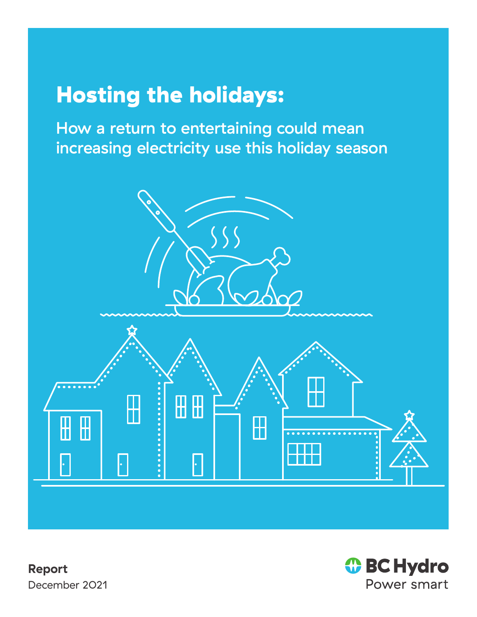# Hosting the holidays:

How a return to entertaining could mean increasing electricity use this holiday season



**Report** December 2021

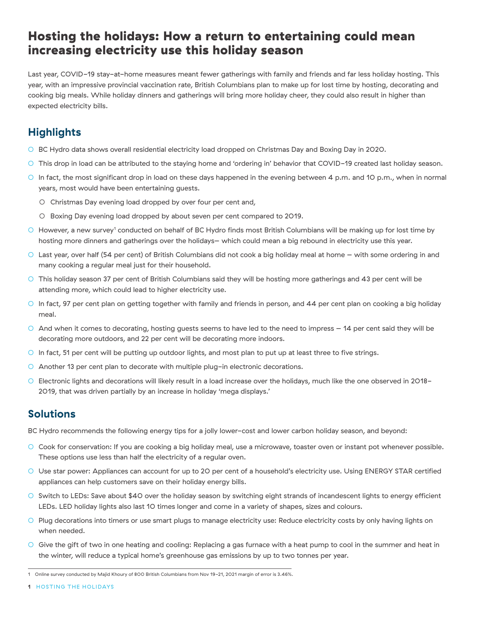## Hosting the holidays: How a return to entertaining could mean increasing electricity use this holiday season

Last year, COVID-19 stay-at-home measures meant fewer gatherings with family and friends and far less holiday hosting. This year, with an impressive provincial vaccination rate, British Columbians plan to make up for lost time by hosting, decorating and cooking big meals. While holiday dinners and gatherings will bring more holiday cheer, they could also result in higher than expected electricity bills.

## **Highlights**

- BC Hydro data shows overall residential electricity load dropped on Christmas Day and Boxing Day in 2020.
- This drop in load can be attributed to the staying home and 'ordering in' behavior that COVID-19 created last holiday season.
- In fact, the most significant drop in load on these days happened in the evening between 4 p.m. and 10 p.m., when in normal years, most would have been entertaining guests.
	- O Christmas Day evening load dropped by over four per cent and,
	- Boxing Day evening load dropped by about seven per cent compared to 2019.
- $\circ$  However, a new survey<sup>1</sup> conducted on behalf of BC Hydro finds most British Columbians will be making up for lost time by hosting more dinners and gatherings over the holidays– which could mean a big rebound in electricity use this year.
- Last year, over half (54 per cent) of British Columbians did not cook a big holiday meal at home with some ordering in and many cooking a regular meal just for their household.
- This holiday season 37 per cent of British Columbians said they will be hosting more gatherings and 43 per cent will be attending more, which could lead to higher electricity use.
- In fact, 97 per cent plan on getting together with family and friends in person, and 44 per cent plan on cooking a big holiday meal.
- And when it comes to decorating, hosting guests seems to have led to the need to impress 14 per cent said they will be decorating more outdoors, and 22 per cent will be decorating more indoors.
- In fact, 51 per cent will be putting up outdoor lights, and most plan to put up at least three to five strings.
- Another 13 per cent plan to decorate with multiple plug-in electronic decorations.
- Electronic lights and decorations will likely result in a load increase over the holidays, much like the one observed in 2018- 2019, that was driven partially by an increase in holiday 'mega displays.'

#### **Solutions**

BC Hydro recommends the following energy tips for a jolly lower-cost and lower carbon holiday season, and beyond:

- Cook for conservation: If you are cooking a big holiday meal, use a microwave, toaster oven or instant pot whenever possible. These options use less than half the electricity of a regular oven.
- Use star power: Appliances can account for up to 20 per cent of a household's electricity use. Using ENERGY STAR certified appliances can help customers save on their holiday energy bills.
- Switch to LEDs: Save about \$40 over the holiday season by switching eight strands of incandescent lights to energy efficient LEDs. LED holiday lights also last 10 times longer and come in a variety of shapes, sizes and colours.
- Plug decorations into timers or use smart plugs to manage electricity use: Reduce electricity costs by only having lights on when needed.
- Give the gift of two in one heating and cooling: Replacing a gas furnace with a heat pump to cool in the summer and heat in the winter, will reduce a typical home's greenhouse gas emissions by up to two tonnes per year.

<sup>1</sup> Online survey conducted by Majid Khoury of 800 British Columbians from Nov 19-21, 2021 margin of error is 3.46%.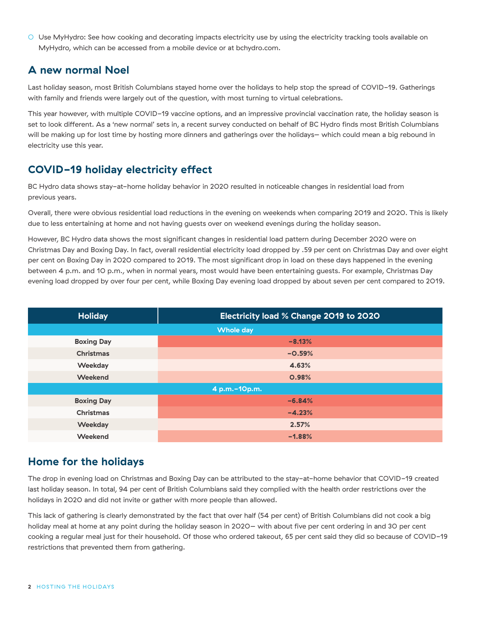○ Use MyHydro: See how cooking and decorating impacts electricity use by using the electricity tracking tools available on MyHydro, which can be accessed from a mobile device or at bchydro.com.

#### **A new normal Noel**

Last holiday season, most British Columbians stayed home over the holidays to help stop the spread of COVID-19. Gatherings with family and friends were largely out of the question, with most turning to virtual celebrations.

This year however, with multiple COVID-19 vaccine options, and an impressive provincial vaccination rate, the holiday season is set to look different. As a 'new normal' sets in, a recent survey conducted on behalf of BC Hydro finds most British Columbians will be making up for lost time by hosting more dinners and gatherings over the holidays– which could mean a big rebound in electricity use this year.

## **COVID-19 holiday electricity effect**

BC Hydro data shows stay-at-home holiday behavior in 2020 resulted in noticeable changes in residential load from previous years.

Overall, there were obvious residential load reductions in the evening on weekends when comparing 2019 and 2020. This is likely due to less entertaining at home and not having guests over on weekend evenings during the holiday season.

However, BC Hydro data shows the most significant changes in residential load pattern during December 2020 were on Christmas Day and Boxing Day. In fact, overall residential electricity load dropped by .59 per cent on Christmas Day and over eight per cent on Boxing Day in 2020 compared to 2019. The most significant drop in load on these days happened in the evening between 4 p.m. and 10 p.m., when in normal years, most would have been entertaining guests. For example, Christmas Day evening load dropped by over four per cent, while Boxing Day evening load dropped by about seven per cent compared to 2019.

| <b>Holiday</b>    | <b>Electricity load % Change 2019 to 2020</b> |
|-------------------|-----------------------------------------------|
| <b>Whole day</b>  |                                               |
| <b>Boxing Day</b> | $-8.13%$                                      |
| <b>Christmas</b>  | $-0.59%$                                      |
| <b>Weekday</b>    | 4.63%                                         |
| <b>Weekend</b>    | <b>O.98%</b>                                  |
| 4 p.m.-10p.m.     |                                               |
| <b>Boxing Day</b> | $-6.84%$                                      |
| <b>Christmas</b>  | $-4.23%$                                      |
| Weekday           | 2.57%                                         |
| Weekend           | $-1.88%$                                      |

## **Home for the holidays**

The drop in evening load on Christmas and Boxing Day can be attributed to the stay-at-home behavior that COVID-19 created last holiday season. In total, 94 per cent of British Columbians said they complied with the health order restrictions over the holidays in 2020 and did not invite or gather with more people than allowed.

This lack of gathering is clearly demonstrated by the fact that over half (54 per cent) of British Columbians did not cook a big holiday meal at home at any point during the holiday season in 2020– with about five per cent ordering in and 30 per cent cooking a regular meal just for their household. Of those who ordered takeout, 65 per cent said they did so because of COVID-19 restrictions that prevented them from gathering.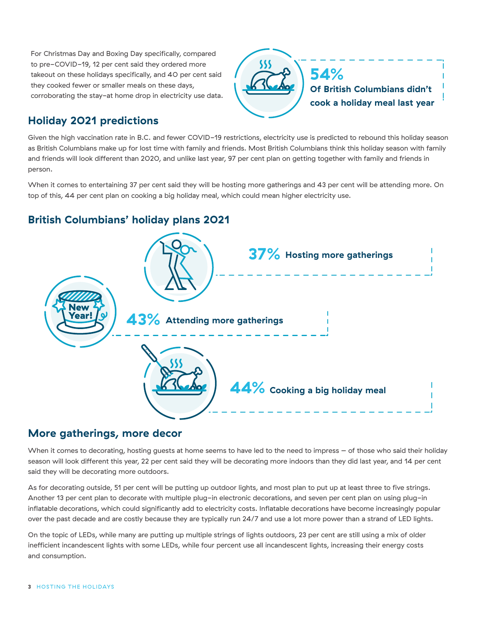For Christmas Day and Boxing Day specifically, compared to pre-COVID-19, 12 per cent said they ordered more takeout on these holidays specifically, and 40 per cent said they cooked fewer or smaller meals on these days, corroborating the stay-at home drop in electricity use data.



#### **Holiday 2021 predictions**

Given the high vaccination rate in B.C. and fewer COVID-19 restrictions, electricity use is predicted to rebound this holiday season as British Columbians make up for lost time with family and friends. Most British Columbians think this holiday season with family and friends will look different than 2020, and unlike last year, 97 per cent plan on getting together with family and friends in person.

When it comes to entertaining 37 per cent said they will be hosting more gatherings and 43 per cent will be attending more. On top of this, 44 per cent plan on cooking a big holiday meal, which could mean higher electricity use.

## **British Columbians' holiday plans 2021**



#### **More gatherings, more decor**

When it comes to decorating, hosting guests at home seems to have led to the need to impress – of those who said their holiday season will look different this year, 22 per cent said they will be decorating more indoors than they did last year, and 14 per cent said they will be decorating more outdoors.

As for decorating outside, 51 per cent will be putting up outdoor lights, and most plan to put up at least three to five strings. Another 13 per cent plan to decorate with multiple plug-in electronic decorations, and seven per cent plan on using plug-in inflatable decorations, which could significantly add to electricity costs. Inflatable decorations have become increasingly popular over the past decade and are costly because they are typically run 24/7 and use a lot more power than a strand of LED lights.

On the topic of LEDs, while many are putting up multiple strings of lights outdoors, 23 per cent are still using a mix of older inefficient incandescent lights with some LEDs, while four percent use all incandescent lights, increasing their energy costs and consumption.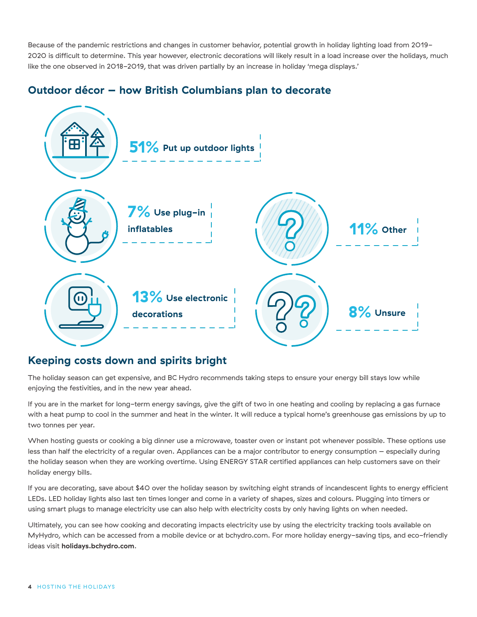Because of the pandemic restrictions and changes in customer behavior, potential growth in holiday lighting load from 2019- 2020 is difficult to determine. This year however, electronic decorations will likely result in a load increase over the holidays, much like the one observed in 2018-2019, that was driven partially by an increase in holiday 'mega displays.'

#### **Outdoor décor – how British Columbians plan to decorate**



#### **Keeping costs down and spirits bright**

The holiday season can get expensive, and BC Hydro recommends taking steps to ensure your energy bill stays low while enjoying the festivities, and in the new year ahead.

If you are in the market for long-term energy savings, give the gift of two in one heating and cooling by replacing a gas furnace with a heat pump to cool in the summer and heat in the winter. It will reduce a typical home's greenhouse gas emissions by up to two tonnes per year.

When hosting guests or cooking a big dinner use a microwave, toaster oven or instant pot whenever possible. These options use less than half the electricity of a regular oven. Appliances can be a major contributor to energy consumption – especially during the holiday season when they are working overtime. Using ENERGY STAR certified appliances can help customers save on their holiday energy bills.

If you are decorating, save about \$40 over the holiday season by switching eight strands of incandescent lights to energy efficient LEDs. LED holiday lights also last ten times longer and come in a variety of shapes, sizes and colours. Plugging into timers or using smart plugs to manage electricity use can also help with electricity costs by only having lights on when needed.

Ultimately, you can see how cooking and decorating impacts electricity use by using the electricity tracking tools available on MyHydro, which can be accessed from a mobile device or at bchydro.com. For more holiday energy-saving tips, and eco-friendly ideas visit **holidays.bchydro.com**.